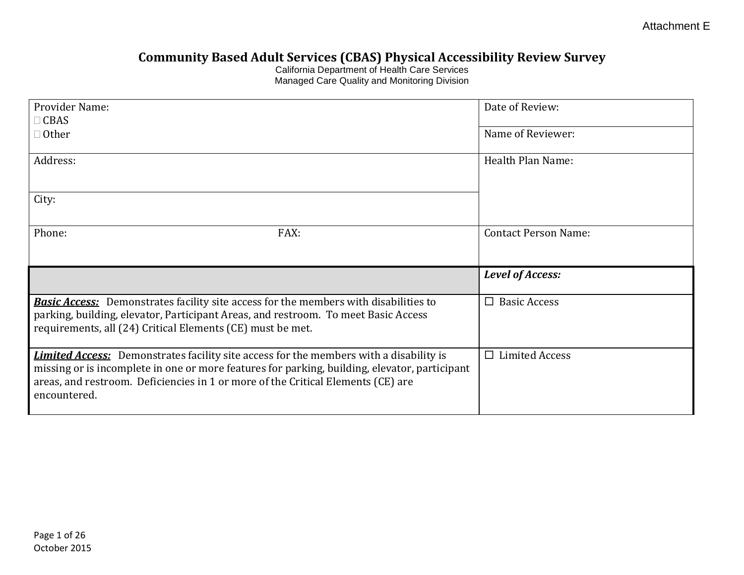Attachment E

## **Community Based Adult Services (CBAS) Physical Accessibility Review Survey**

California Department of Health Care Services Managed Care Quality and Monitoring Division

| Provider Name:                                                                                                                                                                                                                                                                                     | Date of Review:             |
|----------------------------------------------------------------------------------------------------------------------------------------------------------------------------------------------------------------------------------------------------------------------------------------------------|-----------------------------|
| $\Box$ CBAS                                                                                                                                                                                                                                                                                        |                             |
| $\Box$ Other                                                                                                                                                                                                                                                                                       | Name of Reviewer:           |
|                                                                                                                                                                                                                                                                                                    |                             |
| Address:                                                                                                                                                                                                                                                                                           | Health Plan Name:           |
|                                                                                                                                                                                                                                                                                                    |                             |
| City:                                                                                                                                                                                                                                                                                              |                             |
|                                                                                                                                                                                                                                                                                                    |                             |
| Phone:<br>FAX:                                                                                                                                                                                                                                                                                     | <b>Contact Person Name:</b> |
|                                                                                                                                                                                                                                                                                                    |                             |
|                                                                                                                                                                                                                                                                                                    |                             |
|                                                                                                                                                                                                                                                                                                    |                             |
|                                                                                                                                                                                                                                                                                                    | <b>Level of Access:</b>     |
|                                                                                                                                                                                                                                                                                                    |                             |
| <b>Basic Access:</b> Demonstrates facility site access for the members with disabilities to<br>parking, building, elevator, Participant Areas, and restroom. To meet Basic Access                                                                                                                  | $\Box$ Basic Access         |
| requirements, all (24) Critical Elements (CE) must be met.                                                                                                                                                                                                                                         |                             |
|                                                                                                                                                                                                                                                                                                    |                             |
| <b>Limited Access:</b> Demonstrates facility site access for the members with a disability is<br>missing or is incomplete in one or more features for parking, building, elevator, participant<br>areas, and restroom. Deficiencies in 1 or more of the Critical Elements (CE) are<br>encountered. | $\Box$ Limited Access       |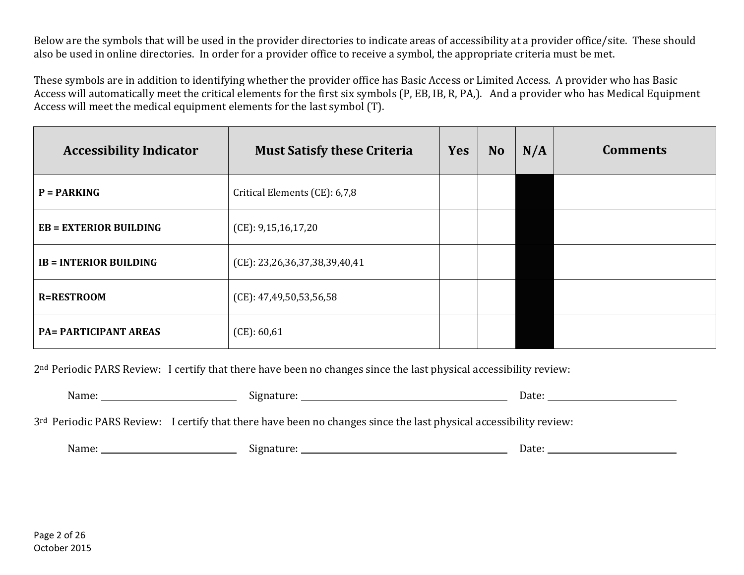Below are the symbols that will be used in the provider directories to indicate areas of accessibility at a provider office/site. These should also be used in online directories. In order for a provider office to receive a symbol, the appropriate criteria must be met.

These symbols are in addition to identifying whether the provider office has Basic Access or Limited Access. A provider who has Basic Access will automatically meet the critical elements for the first six symbols (P, EB, IB, R, PA,). And a provider who has Medical Equipment Access will meet the medical equipment elements for the last symbol (T).

| <b>Accessibility Indicator</b> | <b>Must Satisfy these Criteria</b> | <b>Yes</b> | <b>No</b> | N/A | <b>Comments</b> |
|--------------------------------|------------------------------------|------------|-----------|-----|-----------------|
| $P = PARKING$                  | Critical Elements (CE): 6,7,8      |            |           |     |                 |
| $EB = EXTERIOR BULDING$        | (CE): 9,15,16,17,20                |            |           |     |                 |
| <b>IB = INTERIOR BUILDING</b>  | (CE): 23,26,36,37,38,39,40,41      |            |           |     |                 |
| <b>R=RESTROOM</b>              | (CE): 47,49,50,53,56,58            |            |           |     |                 |
| <b>PA= PARTICIPANT AREAS</b>   | (CE): 60,61                        |            |           |     |                 |

2nd Periodic PARS Review: I certify that there have been no changes since the last physical accessibility review:

| Name: |  | $\alpha$ cc |
|-------|--|-------------|
|-------|--|-------------|

3<sup>rd</sup> Periodic PARS Review: I certify that there have been no changes since the last physical accessibility review:

| $\mathbf{v}$<br>Name | . $\mathbf{P}$ | Dall |
|----------------------|----------------|------|
|                      |                |      |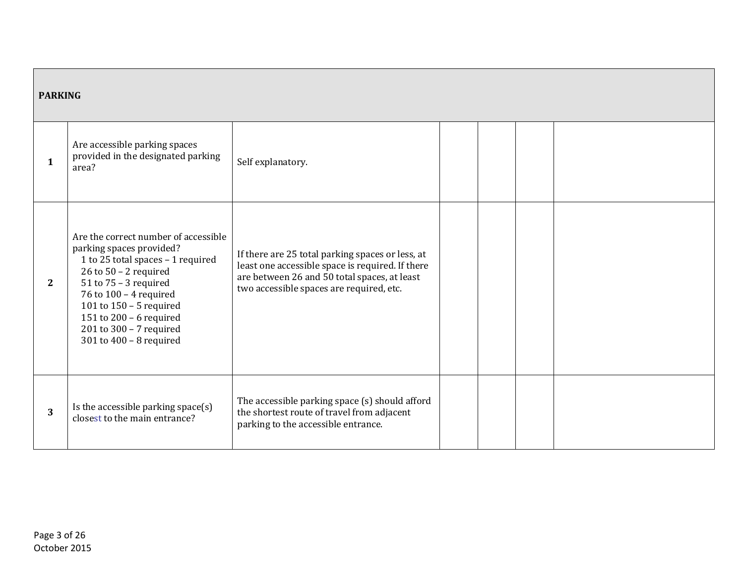| <b>PARKING</b>        |                                                                                                                                                                                                                                                                                                         |                                                                                                                                                                                                  |  |  |
|-----------------------|---------------------------------------------------------------------------------------------------------------------------------------------------------------------------------------------------------------------------------------------------------------------------------------------------------|--------------------------------------------------------------------------------------------------------------------------------------------------------------------------------------------------|--|--|
| 1                     | Are accessible parking spaces<br>provided in the designated parking<br>area?                                                                                                                                                                                                                            | Self explanatory.                                                                                                                                                                                |  |  |
| $\mathbf{2}^{\prime}$ | Are the correct number of accessible<br>parking spaces provided?<br>1 to 25 total spaces - 1 required<br>26 to $50 - 2$ required<br>$51$ to $75 - 3$ required<br>76 to 100 - 4 required<br>101 to $150 - 5$ required<br>151 to 200 - 6 required<br>201 to 300 - 7 required<br>301 to $400 - 8$ required | If there are 25 total parking spaces or less, at<br>least one accessible space is required. If there<br>are between 26 and 50 total spaces, at least<br>two accessible spaces are required, etc. |  |  |
| 3                     | Is the accessible parking space(s)<br>closest to the main entrance?                                                                                                                                                                                                                                     | The accessible parking space (s) should afford<br>the shortest route of travel from adjacent<br>parking to the accessible entrance.                                                              |  |  |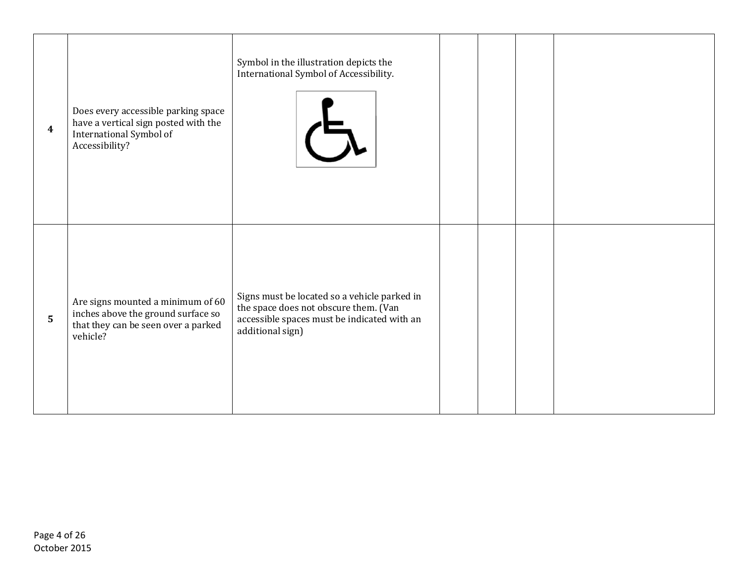| $\overline{\mathbf{4}}$ | Does every accessible parking space<br>have a vertical sign posted with the<br>International Symbol of<br>Accessibility?   | Symbol in the illustration depicts the<br>International Symbol of Accessibility.                                                                         |  |  |
|-------------------------|----------------------------------------------------------------------------------------------------------------------------|----------------------------------------------------------------------------------------------------------------------------------------------------------|--|--|
| $\overline{5}$          | Are signs mounted a minimum of 60<br>inches above the ground surface so<br>that they can be seen over a parked<br>vehicle? | Signs must be located so a vehicle parked in<br>the space does not obscure them. (Van<br>accessible spaces must be indicated with an<br>additional sign) |  |  |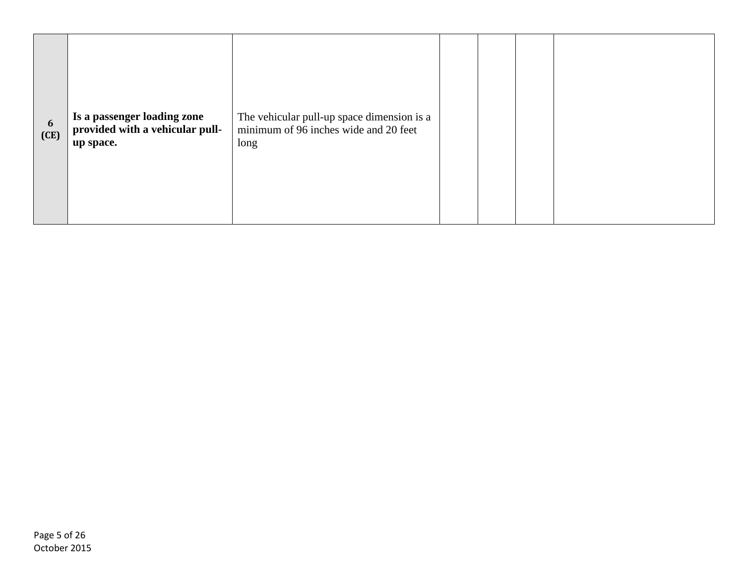| 6<br>(CE) | Is a passenger loading zone<br>provided with a vehicular pull-<br>up space. | The vehicular pull-up space dimension is a<br>minimum of 96 inches wide and 20 feet<br>long |  |  |
|-----------|-----------------------------------------------------------------------------|---------------------------------------------------------------------------------------------|--|--|
|           |                                                                             |                                                                                             |  |  |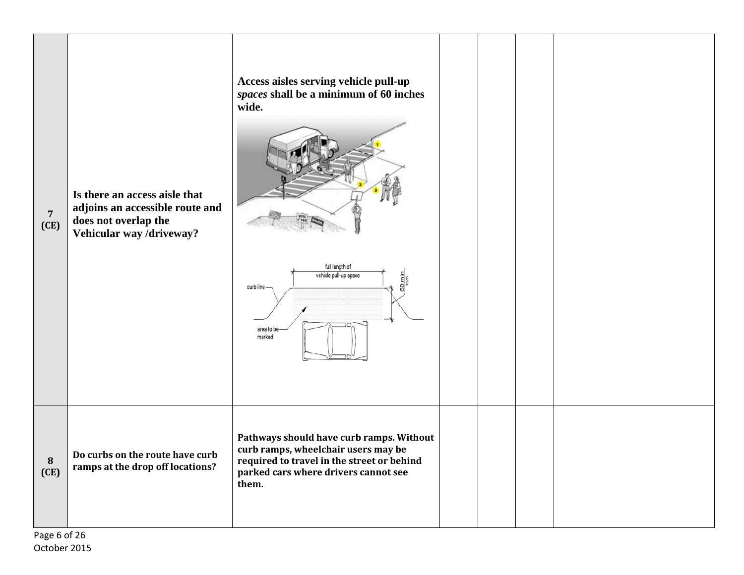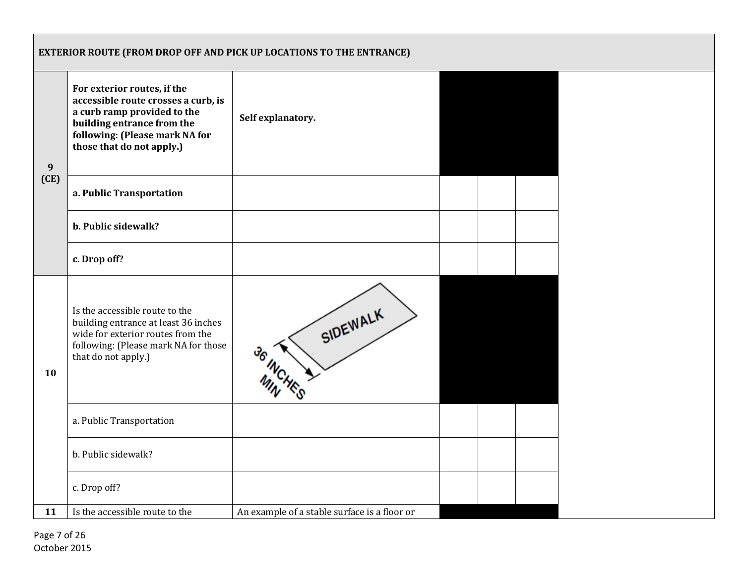|      | EXTERIOR ROUTE (FROM DROP OFF AND PICK UP LOCATIONS TO THE ENTRANCE)                                                                                                                           |                                              |  |  |  |  |  |  |
|------|------------------------------------------------------------------------------------------------------------------------------------------------------------------------------------------------|----------------------------------------------|--|--|--|--|--|--|
| 9    | For exterior routes, if the<br>accessible route crosses a curb, is<br>a curb ramp provided to the<br>building entrance from the<br>following: (Please mark NA for<br>those that do not apply.) | Self explanatory.                            |  |  |  |  |  |  |
| (CE) | a. Public Transportation                                                                                                                                                                       |                                              |  |  |  |  |  |  |
|      | b. Public sidewalk?                                                                                                                                                                            |                                              |  |  |  |  |  |  |
|      | c. Drop off?                                                                                                                                                                                   |                                              |  |  |  |  |  |  |
| 10   | Is the accessible route to the<br>building entrance at least 36 inches<br>wide for exterior routes from the<br>following: (Please mark NA for those<br>that do not apply.)                     | SIDEWALK<br>36 INCHI                         |  |  |  |  |  |  |
|      | a. Public Transportation                                                                                                                                                                       |                                              |  |  |  |  |  |  |
|      | b. Public sidewalk?                                                                                                                                                                            |                                              |  |  |  |  |  |  |
|      | c. Drop off?                                                                                                                                                                                   |                                              |  |  |  |  |  |  |
| 11   | Is the accessible route to the                                                                                                                                                                 | An example of a stable surface is a floor or |  |  |  |  |  |  |

 Page 7 of 26 October 2015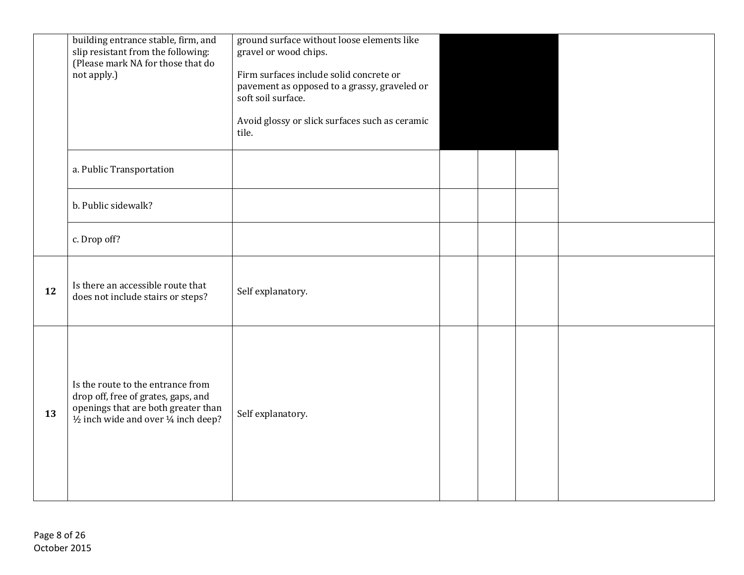|    | building entrance stable, firm, and<br>slip resistant from the following:<br>(Please mark NA for those that do<br>not apply.)                            | ground surface without loose elements like<br>gravel or wood chips.<br>Firm surfaces include solid concrete or<br>pavement as opposed to a grassy, graveled or<br>soft soil surface.<br>Avoid glossy or slick surfaces such as ceramic<br>tile. |  |  |
|----|----------------------------------------------------------------------------------------------------------------------------------------------------------|-------------------------------------------------------------------------------------------------------------------------------------------------------------------------------------------------------------------------------------------------|--|--|
|    | a. Public Transportation                                                                                                                                 |                                                                                                                                                                                                                                                 |  |  |
|    | b. Public sidewalk?                                                                                                                                      |                                                                                                                                                                                                                                                 |  |  |
|    | c. Drop off?                                                                                                                                             |                                                                                                                                                                                                                                                 |  |  |
| 12 | Is there an accessible route that<br>does not include stairs or steps?                                                                                   | Self explanatory.                                                                                                                                                                                                                               |  |  |
| 13 | Is the route to the entrance from<br>drop off, free of grates, gaps, and<br>openings that are both greater than<br>1/2 inch wide and over 1/4 inch deep? | Self explanatory.                                                                                                                                                                                                                               |  |  |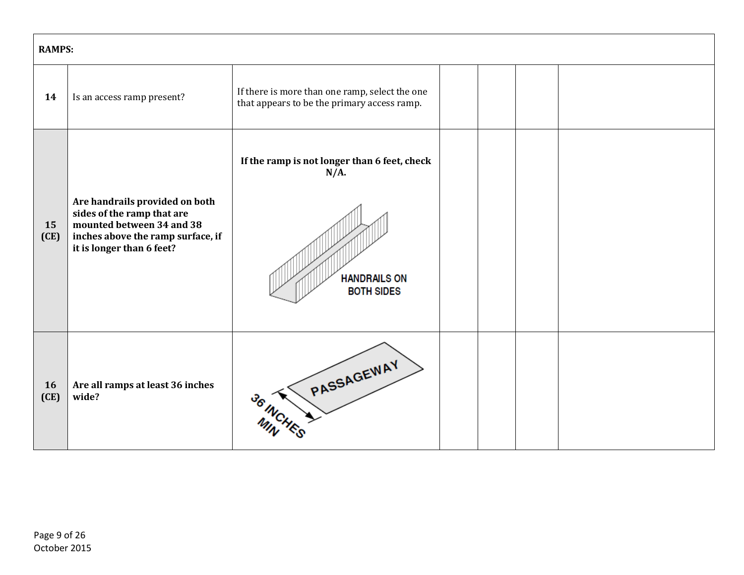|            | <b>RAMPS:</b>                                                                                                                                               |                                                                                                     |  |  |  |  |  |  |
|------------|-------------------------------------------------------------------------------------------------------------------------------------------------------------|-----------------------------------------------------------------------------------------------------|--|--|--|--|--|--|
| 14         | Is an access ramp present?                                                                                                                                  | If there is more than one ramp, select the one<br>that appears to be the primary access ramp.       |  |  |  |  |  |  |
| 15<br>(CE) | Are handrails provided on both<br>sides of the ramp that are<br>mounted between 34 and 38<br>inches above the ramp surface, if<br>it is longer than 6 feet? | If the ramp is not longer than 6 feet, check<br>$N/A$ .<br><b>HANDRAILS ON</b><br><b>BOTH SIDES</b> |  |  |  |  |  |  |
| 16<br>(CE) | Are all ramps at least 36 inches<br>wide?                                                                                                                   | PASSAGEWAY<br>36 INCH                                                                               |  |  |  |  |  |  |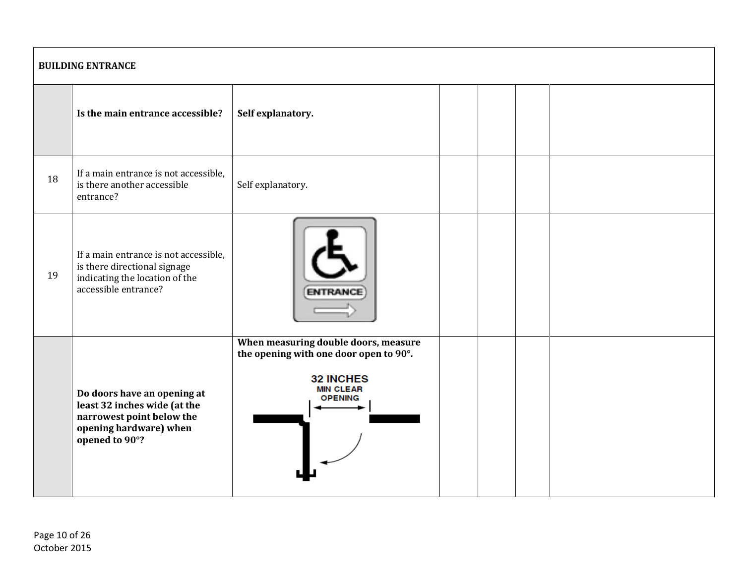|    | <b>BUILDING ENTRANCE</b>                                                                                                             |                                                                                                                                          |  |  |  |  |  |  |
|----|--------------------------------------------------------------------------------------------------------------------------------------|------------------------------------------------------------------------------------------------------------------------------------------|--|--|--|--|--|--|
|    | Is the main entrance accessible?                                                                                                     | Self explanatory.                                                                                                                        |  |  |  |  |  |  |
| 18 | If a main entrance is not accessible,<br>is there another accessible<br>entrance?                                                    | Self explanatory.                                                                                                                        |  |  |  |  |  |  |
| 19 | If a main entrance is not accessible,<br>is there directional signage<br>indicating the location of the<br>accessible entrance?      |                                                                                                                                          |  |  |  |  |  |  |
|    | Do doors have an opening at<br>least 32 inches wide (at the<br>narrowest point below the<br>opening hardware) when<br>opened to 90°? | When measuring double doors, measure<br>the opening with one door open to 90°.<br><b>32 INCHES</b><br><b>MIN CLEAR</b><br><b>OPENING</b> |  |  |  |  |  |  |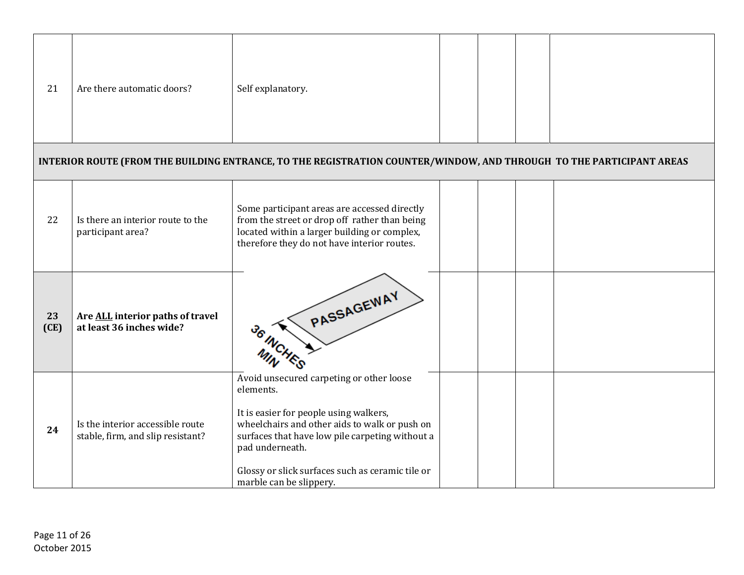| 21         | Are there automatic doors?                                            | Self explanatory.                                                                                                                                                                                                                                                                                     |  |  |
|------------|-----------------------------------------------------------------------|-------------------------------------------------------------------------------------------------------------------------------------------------------------------------------------------------------------------------------------------------------------------------------------------------------|--|--|
|            |                                                                       | INTERIOR ROUTE (FROM THE BUILDING ENTRANCE, TO THE REGISTRATION COUNTER/WINDOW, AND THROUGH TO THE PARTICIPANT AREAS                                                                                                                                                                                  |  |  |
| 22         | Is there an interior route to the<br>participant area?                | Some participant areas are accessed directly<br>from the street or drop off rather than being<br>located within a larger building or complex,<br>therefore they do not have interior routes.                                                                                                          |  |  |
| 23<br>(CE) | Are ALL interior paths of travel<br>at least 36 inches wide?          | PASSAGEWAY                                                                                                                                                                                                                                                                                            |  |  |
| 24         | Is the interior accessible route<br>stable, firm, and slip resistant? | Avoid unsecured carpeting or other loose<br>elements.<br>It is easier for people using walkers,<br>wheelchairs and other aids to walk or push on<br>surfaces that have low pile carpeting without a<br>pad underneath.<br>Glossy or slick surfaces such as ceramic tile or<br>marble can be slippery. |  |  |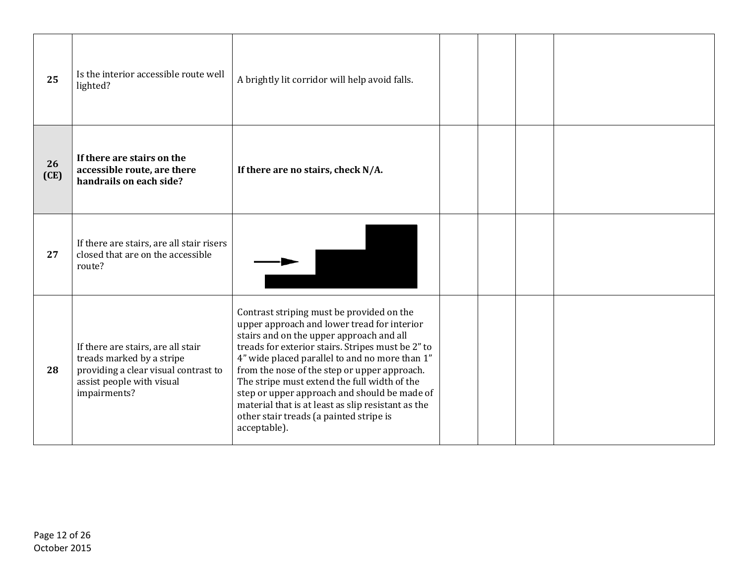| 25         | Is the interior accessible route well<br>lighted?                                                                                                    | A brightly lit corridor will help avoid falls.                                                                                                                                                                                                                                                                                                                                                                                                                                                               |  |  |
|------------|------------------------------------------------------------------------------------------------------------------------------------------------------|--------------------------------------------------------------------------------------------------------------------------------------------------------------------------------------------------------------------------------------------------------------------------------------------------------------------------------------------------------------------------------------------------------------------------------------------------------------------------------------------------------------|--|--|
| 26<br>(CE) | If there are stairs on the<br>accessible route, are there<br>handrails on each side?                                                                 | If there are no stairs, check N/A.                                                                                                                                                                                                                                                                                                                                                                                                                                                                           |  |  |
| 27         | If there are stairs, are all stair risers<br>closed that are on the accessible<br>route?                                                             |                                                                                                                                                                                                                                                                                                                                                                                                                                                                                                              |  |  |
| 28         | If there are stairs, are all stair<br>treads marked by a stripe<br>providing a clear visual contrast to<br>assist people with visual<br>impairments? | Contrast striping must be provided on the<br>upper approach and lower tread for interior<br>stairs and on the upper approach and all<br>treads for exterior stairs. Stripes must be 2" to<br>4" wide placed parallel to and no more than 1"<br>from the nose of the step or upper approach.<br>The stripe must extend the full width of the<br>step or upper approach and should be made of<br>material that is at least as slip resistant as the<br>other stair treads (a painted stripe is<br>acceptable). |  |  |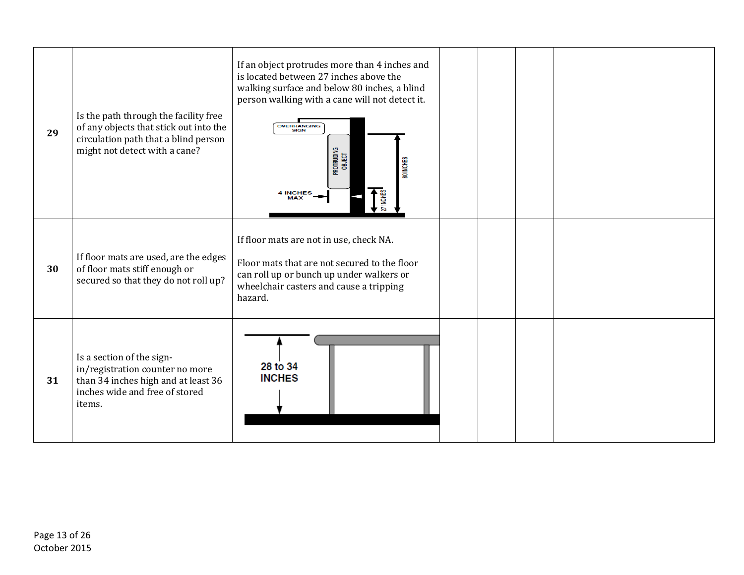| 29 | Is the path through the facility free<br>of any objects that stick out into the<br>circulation path that a blind person<br>might not detect with a cane? | If an object protrudes more than 4 inches and<br>is located between 27 inches above the<br>walking surface and below 80 inches, a blind<br>person walking with a cane will not detect it.<br><b>OVERHANGING</b><br>Protruding<br>Object<br>80 INCHES<br>$27$ INCHES<br><b>4 INCHES</b> |  |  |
|----|----------------------------------------------------------------------------------------------------------------------------------------------------------|----------------------------------------------------------------------------------------------------------------------------------------------------------------------------------------------------------------------------------------------------------------------------------------|--|--|
| 30 | If floor mats are used, are the edges<br>of floor mats stiff enough or<br>secured so that they do not roll up?                                           | If floor mats are not in use, check NA.<br>Floor mats that are not secured to the floor<br>can roll up or bunch up under walkers or<br>wheelchair casters and cause a tripping<br>hazard.                                                                                              |  |  |
| 31 | Is a section of the sign-<br>in/registration counter no more<br>than 34 inches high and at least 36<br>inches wide and free of stored<br>items.          | 28 to 34<br><b>INCHES</b>                                                                                                                                                                                                                                                              |  |  |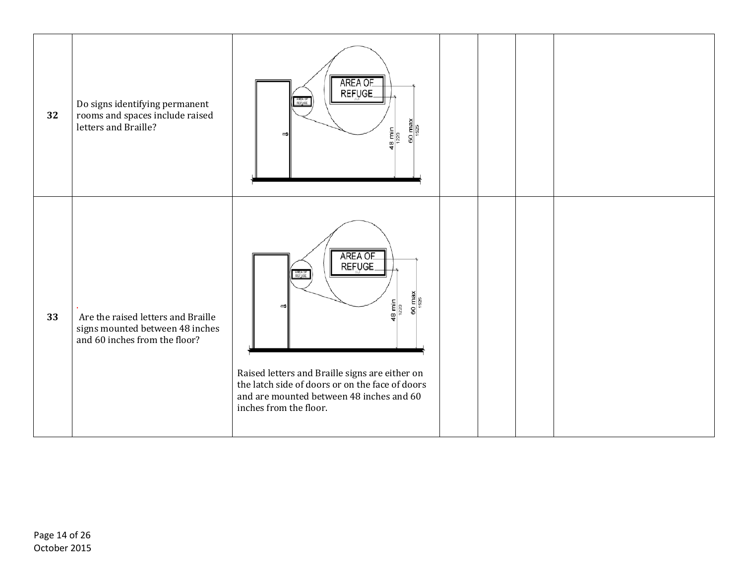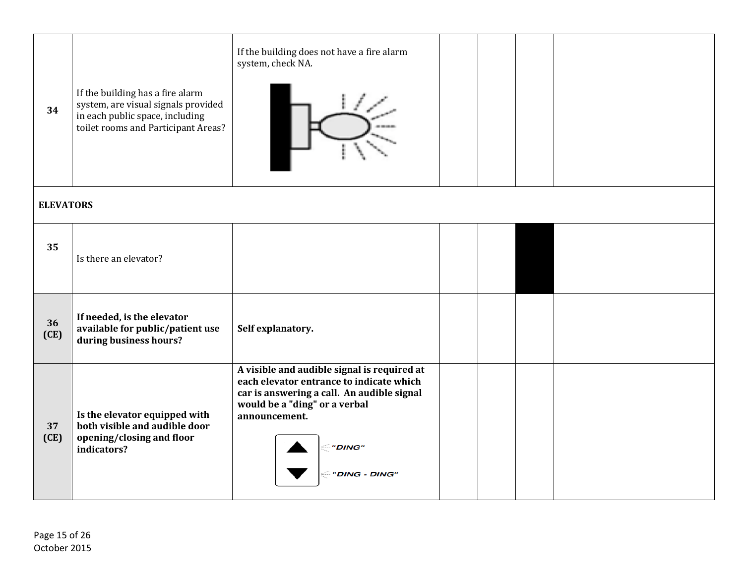| 34         | If the building has a fire alarm<br>system, are visual signals provided<br>in each public space, including<br>toilet rooms and Participant Areas? | If the building does not have a fire alarm<br>system, check NA.                                                                                                                                                    |  |  |  |  |  |  |
|------------|---------------------------------------------------------------------------------------------------------------------------------------------------|--------------------------------------------------------------------------------------------------------------------------------------------------------------------------------------------------------------------|--|--|--|--|--|--|
|            | <b>ELEVATORS</b>                                                                                                                                  |                                                                                                                                                                                                                    |  |  |  |  |  |  |
| 35         | Is there an elevator?                                                                                                                             |                                                                                                                                                                                                                    |  |  |  |  |  |  |
| 36<br>(CE) | If needed, is the elevator<br>available for public/patient use<br>during business hours?                                                          | Self explanatory.                                                                                                                                                                                                  |  |  |  |  |  |  |
| 37<br>(CE) | Is the elevator equipped with<br>both visible and audible door<br>opening/closing and floor<br>indicators?                                        | A visible and audible signal is required at<br>each elevator entrance to indicate which<br>car is answering a call. An audible signal<br>would be a "ding" or a verbal<br>announcement.<br>"DING"<br>"DING - DING" |  |  |  |  |  |  |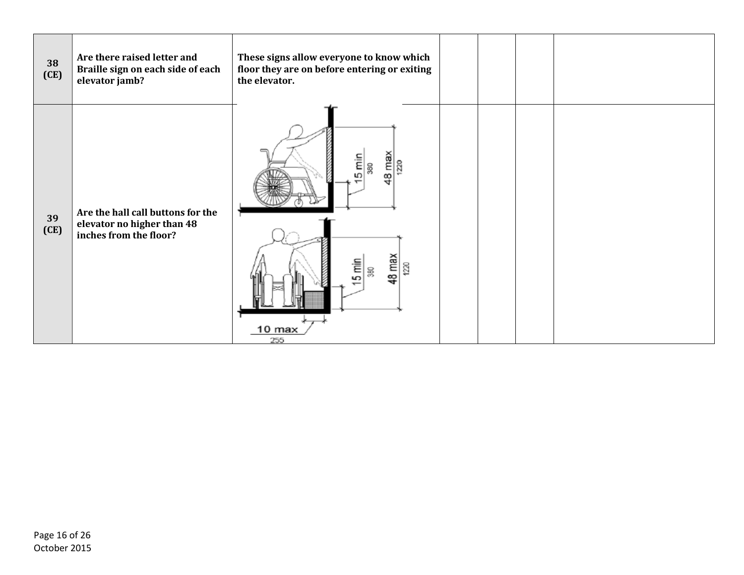| 38<br>(CE) | Are there raised letter and<br>Braille sign on each side of each<br>elevator jamb?        | These signs allow everyone to know which<br>floor they are on before entering or exiting<br>the elevator. |  |  |
|------------|-------------------------------------------------------------------------------------------|-----------------------------------------------------------------------------------------------------------|--|--|
| 39<br>(CE) | Are the hall call buttons for the<br>elevator no higher than 48<br>inches from the floor? | Εm<br>έ<br>220<br>ន្ល<br>Ю<br>œ<br>48 max<br>$5 \text{ min}$<br>1220<br> ន្ល<br>10 max<br>255             |  |  |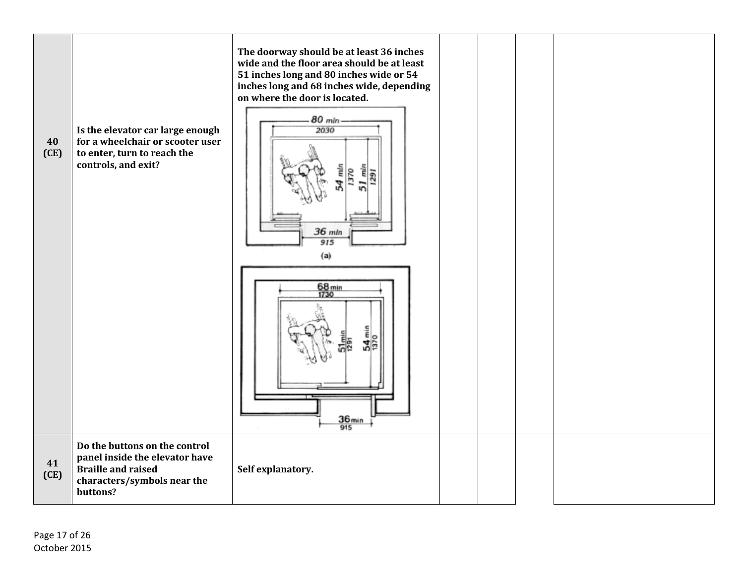| 40<br>(CE) | Is the elevator car large enough<br>for a wheelchair or scooter user<br>to enter, turn to reach the<br>controls, and exit?              | The doorway should be at least 36 inches<br>wide and the floor area should be at least<br>51 inches long and 80 inches wide or 54<br>inches long and 68 inches wide, depending<br>on where the door is located.<br>80 min<br>2030<br>36 mln<br>915<br>(a) |  |  |
|------------|-----------------------------------------------------------------------------------------------------------------------------------------|-----------------------------------------------------------------------------------------------------------------------------------------------------------------------------------------------------------------------------------------------------------|--|--|
|            |                                                                                                                                         | 68 min<br>1730<br>54 <sub>mi</sub><br>$\frac{36_{\text{min}}}{915}$                                                                                                                                                                                       |  |  |
| 41<br>(CE) | Do the buttons on the control<br>panel inside the elevator have<br><b>Braille and raised</b><br>characters/symbols near the<br>buttons? | Self explanatory.                                                                                                                                                                                                                                         |  |  |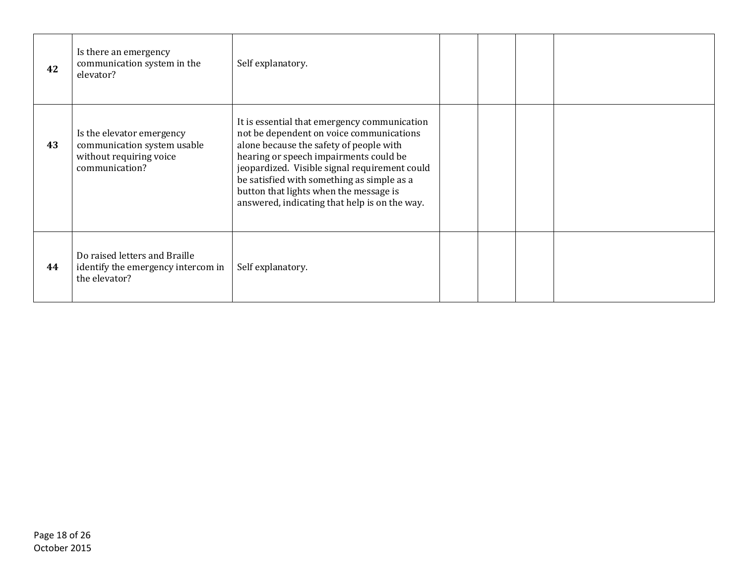| 42 | Is there an emergency<br>communication system in the<br>elevator?                                     | Self explanatory.                                                                                                                                                                                                                                                                                                                                                       |  |  |
|----|-------------------------------------------------------------------------------------------------------|-------------------------------------------------------------------------------------------------------------------------------------------------------------------------------------------------------------------------------------------------------------------------------------------------------------------------------------------------------------------------|--|--|
| 43 | Is the elevator emergency<br>communication system usable<br>without requiring voice<br>communication? | It is essential that emergency communication<br>not be dependent on voice communications<br>alone because the safety of people with<br>hearing or speech impairments could be<br>jeopardized. Visible signal requirement could<br>be satisfied with something as simple as a<br>button that lights when the message is<br>answered, indicating that help is on the way. |  |  |
| 44 | Do raised letters and Braille<br>identify the emergency intercom in<br>the elevator?                  | Self explanatory.                                                                                                                                                                                                                                                                                                                                                       |  |  |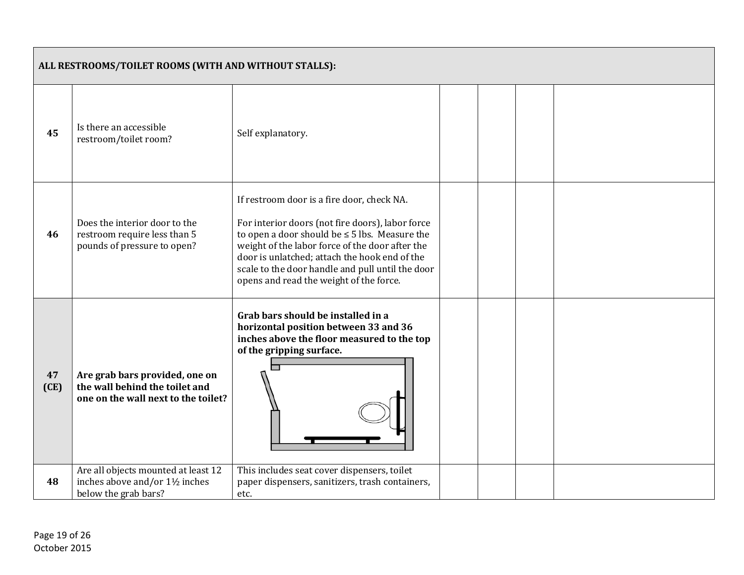|            | ALL RESTROOMS/TOILET ROOMS (WITH AND WITHOUT STALLS):                                                   |                                                                                                                                                                                                                                                                                                                                                         |  |  |  |  |  |
|------------|---------------------------------------------------------------------------------------------------------|---------------------------------------------------------------------------------------------------------------------------------------------------------------------------------------------------------------------------------------------------------------------------------------------------------------------------------------------------------|--|--|--|--|--|
| 45         | Is there an accessible<br>restroom/toilet room?                                                         | Self explanatory.                                                                                                                                                                                                                                                                                                                                       |  |  |  |  |  |
| 46         | Does the interior door to the<br>restroom require less than 5<br>pounds of pressure to open?            | If restroom door is a fire door, check NA.<br>For interior doors (not fire doors), labor force<br>to open a door should be $\leq$ 5 lbs. Measure the<br>weight of the labor force of the door after the<br>door is unlatched; attach the hook end of the<br>scale to the door handle and pull until the door<br>opens and read the weight of the force. |  |  |  |  |  |
| 47<br>(CE) | Are grab bars provided, one on<br>the wall behind the toilet and<br>one on the wall next to the toilet? | Grab bars should be installed in a<br>horizontal position between 33 and 36<br>inches above the floor measured to the top<br>of the gripping surface.                                                                                                                                                                                                   |  |  |  |  |  |
| 48         | Are all objects mounted at least 12<br>inches above and/or 1½ inches<br>below the grab bars?            | This includes seat cover dispensers, toilet<br>paper dispensers, sanitizers, trash containers,<br>etc.                                                                                                                                                                                                                                                  |  |  |  |  |  |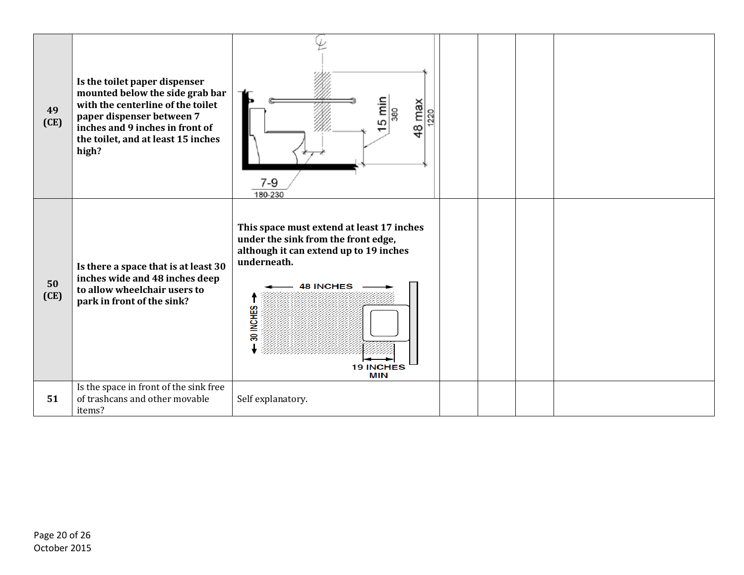| 49<br>(CE) | Is the toilet paper dispenser<br>mounted below the side grab bar<br>with the centerline of the toilet<br>paper dispenser between 7<br>inches and 9 inches in front of<br>the toilet, and at least 15 inches<br>high? | 5 min<br>48 max<br>380<br>220<br>7-9<br>180-230                                                                                                                                                              |  |  |
|------------|----------------------------------------------------------------------------------------------------------------------------------------------------------------------------------------------------------------------|--------------------------------------------------------------------------------------------------------------------------------------------------------------------------------------------------------------|--|--|
| 50<br>(CE) | Is there a space that is at least 30<br>inches wide and 48 inches deep<br>to allow wheelchair users to<br>park in front of the sink?                                                                                 | This space must extend at least 17 inches<br>under the sink from the front edge,<br>although it can extend up to 19 inches<br>underneath.<br><b>48 INCHES</b><br>30 INCHES<br><b>19 INCHES</b><br><b>MIN</b> |  |  |
| 51         | Is the space in front of the sink free<br>of trashcans and other movable<br>items?                                                                                                                                   | Self explanatory.                                                                                                                                                                                            |  |  |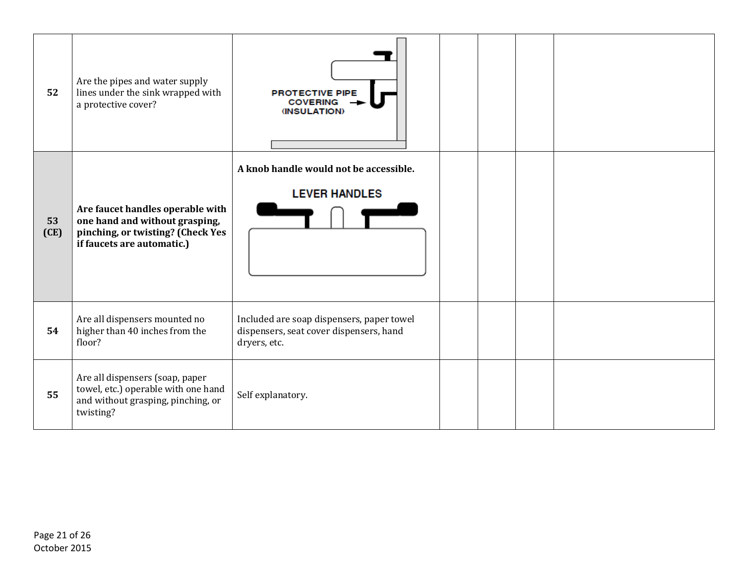| 52         | Are the pipes and water supply<br>lines under the sink wrapped with<br>a protective cover?                                            | <b>PROTECTIVE PIPE</b><br><b>COVERING</b><br><b>(INSULATION)</b>                                     |  |  |
|------------|---------------------------------------------------------------------------------------------------------------------------------------|------------------------------------------------------------------------------------------------------|--|--|
| 53<br>(CE) | Are faucet handles operable with<br>one hand and without grasping,<br>pinching, or twisting? (Check Yes<br>if faucets are automatic.) | A knob handle would not be accessible.<br><b>LEVER HANDLES</b>                                       |  |  |
| 54         | Are all dispensers mounted no<br>higher than 40 inches from the<br>floor?                                                             | Included are soap dispensers, paper towel<br>dispensers, seat cover dispensers, hand<br>dryers, etc. |  |  |
| 55         | Are all dispensers (soap, paper<br>towel, etc.) operable with one hand<br>and without grasping, pinching, or<br>twisting?             | Self explanatory.                                                                                    |  |  |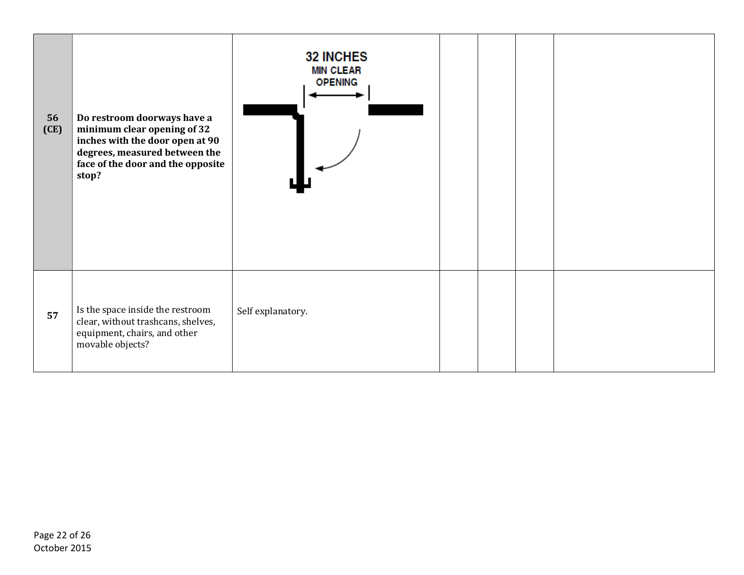| 56<br>(CE) | Do restroom doorways have a<br>minimum clear opening of 32<br>inches with the door open at 90<br>degrees, measured between the<br>face of the door and the opposite<br>stop? | <b>32 INCHES</b><br><b>MIN CLEAR</b><br><b>OPENING</b> |  |  |
|------------|------------------------------------------------------------------------------------------------------------------------------------------------------------------------------|--------------------------------------------------------|--|--|
| 57         | Is the space inside the restroom<br>clear, without trashcans, shelves,<br>equipment, chairs, and other<br>movable objects?                                                   | Self explanatory.                                      |  |  |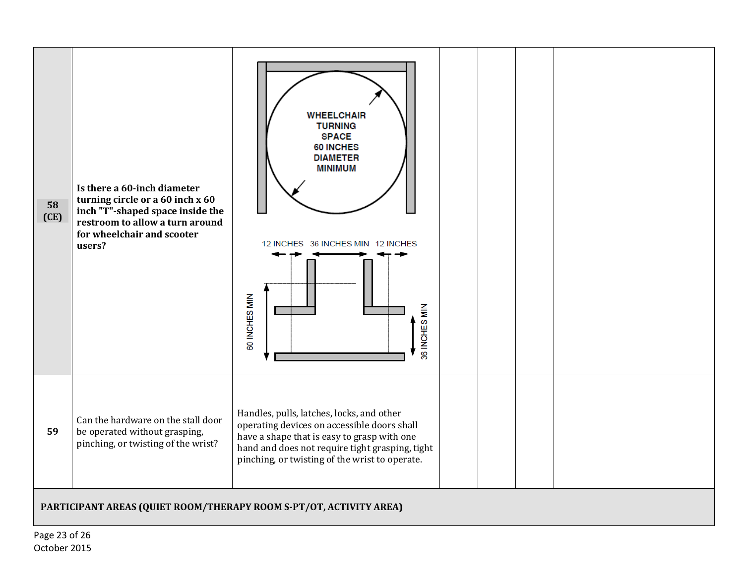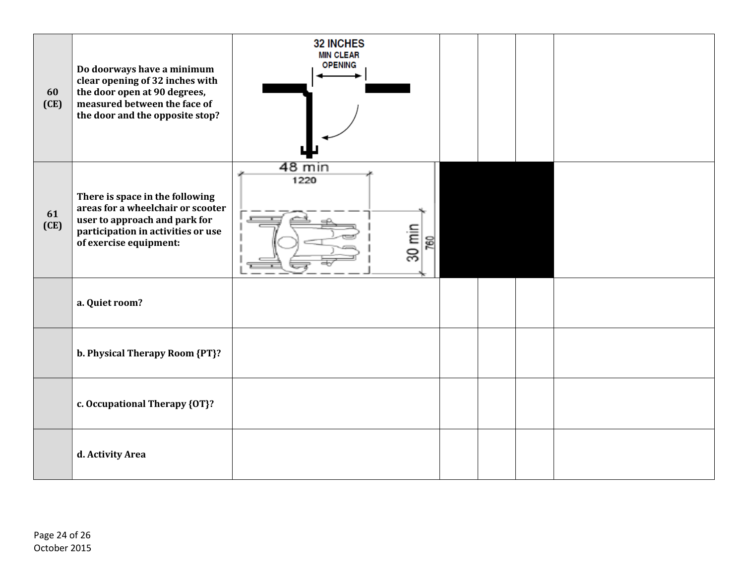| 60<br>(CE) | Do doorways have a minimum<br>clear opening of 32 inches with<br>the door open at 90 degrees,<br>measured between the face of<br>the door and the opposite stop?      | <b>32 INCHES</b><br><b>MIN CLEAR</b><br><b>OPENING</b> |  |  |
|------------|-----------------------------------------------------------------------------------------------------------------------------------------------------------------------|--------------------------------------------------------|--|--|
| 61<br>(CE) | There is space in the following<br>areas for a wheelchair or scooter<br>user to approach and park for<br>participation in activities or use<br>of exercise equipment: | 48 min<br>1220<br>$30$ min<br>760                      |  |  |
|            | a. Quiet room?                                                                                                                                                        |                                                        |  |  |
|            | b. Physical Therapy Room {PT}?                                                                                                                                        |                                                        |  |  |
|            | c. Occupational Therapy {OT}?                                                                                                                                         |                                                        |  |  |
|            | d. Activity Area                                                                                                                                                      |                                                        |  |  |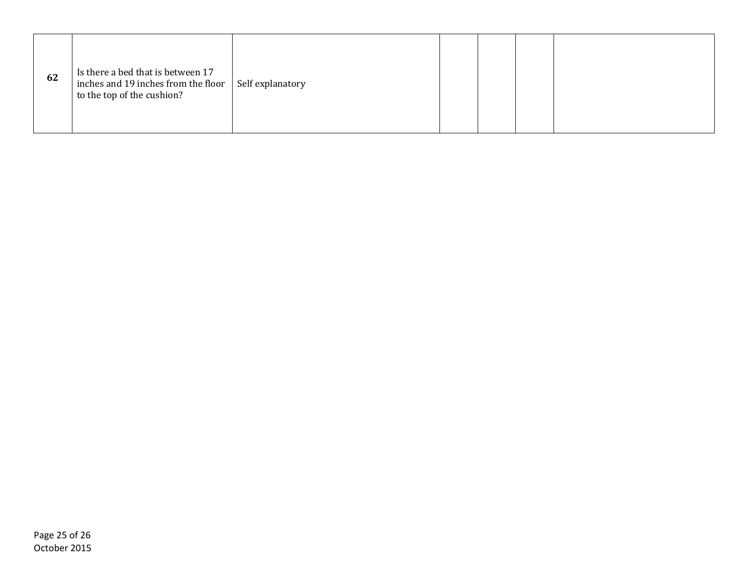| 62 | Is there a bed that is between 17<br>inches and 19 inches from the floor<br>to the top of the cushion? | Self explanatory |  |  |  |  |
|----|--------------------------------------------------------------------------------------------------------|------------------|--|--|--|--|
|----|--------------------------------------------------------------------------------------------------------|------------------|--|--|--|--|